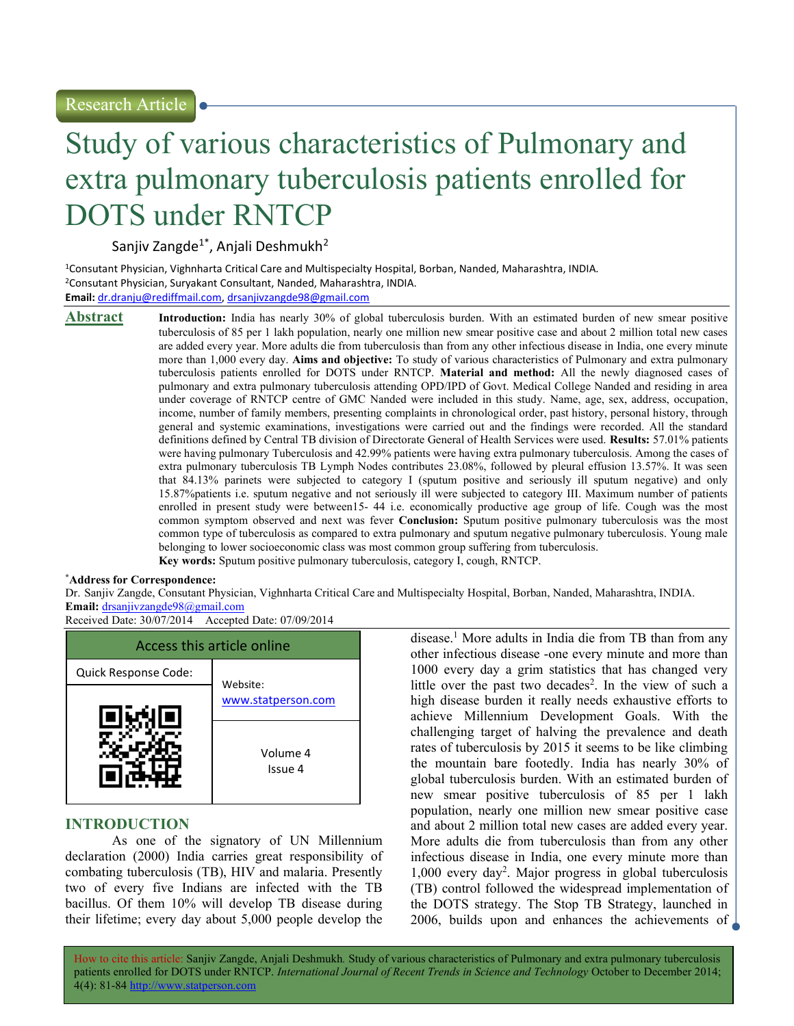# Study of various characteristics of Pulmonary and extra pulmonary tuberculosis patients enrolled for DOTS under RNTCP

Sanjiv Zangde<sup>1\*</sup>, Anjali Deshmukh<sup>2</sup>

<sup>1</sup>Consutant Physician, Vighnharta Critical Care and Multispecialty Hospital, Borban, Nanded, Maharashtra, INDIA. <sup>2</sup>Consutant Physician, Suryakant Consultant, Nanded, Maharashtra, INDIA. Email: dr.dranju@rediffmail.com, drsanjivzangde98@gmail.com

**Abstract** Introduction: India has nearly 30% of global tuberculosis burden. With an estimated burden of new smear positive tuberculosis of 85 per 1 lakh population, nearly one million new smear positive case and about 2 million total new cases are added every year. More adults die from tuberculosis than from any other infectious disease in India, one every minute more than 1,000 every day. Aims and objective: To study of various characteristics of Pulmonary and extra pulmonary tuberculosis patients enrolled for DOTS under RNTCP. Material and method: All the newly diagnosed cases of pulmonary and extra pulmonary tuberculosis attending OPD/IPD of Govt. Medical College Nanded and residing in area under coverage of RNTCP centre of GMC Nanded were included in this study. Name, age, sex, address, occupation, income, number of family members, presenting complaints in chronological order, past history, personal history, through general and systemic examinations, investigations were carried out and the findings were recorded. All the standard definitions defined by Central TB division of Directorate General of Health Services were used. Results: 57.01% patients were having pulmonary Tuberculosis and 42.99% patients were having extra pulmonary tuberculosis. Among the cases of extra pulmonary tuberculosis TB Lymph Nodes contributes 23.08%, followed by pleural effusion 13.57%. It was seen that 84.13% parinets were subjected to category I (sputum positive and seriously ill sputum negative) and only 15.87%patients i.e. sputum negative and not seriously ill were subjected to category III. Maximum number of patients enrolled in present study were between15- 44 i.e. economically productive age group of life. Cough was the most common symptom observed and next was fever Conclusion: Sputum positive pulmonary tuberculosis was the most common type of tuberculosis as compared to extra pulmonary and sputum negative pulmonary tuberculosis. Young male belonging to lower socioeconomic class was most common group suffering from tuberculosis.

Key words: Sputum positive pulmonary tuberculosis, category I, cough, RNTCP.

#### \*Address for Correspondence:

Dr. Sanjiv Zangde, Consutant Physician, Vighnharta Critical Care and Multispecialty Hospital, Borban, Nanded, Maharashtra, INDIA. Email: drsanjivzangde98@gmail.com

Received Date: 30/07/2014 Accepted Date: 07/09/2014



# INTRODUCTION

As one of the signatory of UN Millennium declaration (2000) India carries great responsibility of combating tuberculosis (TB), HIV and malaria. Presently two of every five Indians are infected with the TB bacillus. Of them 10% will develop TB disease during their lifetime; every day about 5,000 people develop the

disease.<sup>1</sup> More adults in India die from TB than from any other infectious disease -one every minute and more than 1000 every day a grim statistics that has changed very little over the past two decades<sup>2</sup>. In the view of such a high disease burden it really needs exhaustive efforts to achieve Millennium Development Goals. With the challenging target of halving the prevalence and death rates of tuberculosis by 2015 it seems to be like climbing the mountain bare footedly. India has nearly 30% of global tuberculosis burden. With an estimated burden of new smear positive tuberculosis of 85 per 1 lakh population, nearly one million new smear positive case and about 2 million total new cases are added every year. More adults die from tuberculosis than from any other infectious disease in India, one every minute more than 1,000 every day<sup>2</sup> . Major progress in global tuberculosis (TB) control followed the widespread implementation of the DOTS strategy. The Stop TB Strategy, launched in 2006, builds upon and enhances the achievements of

How to cite this article: Sanjiv Zangde, Anjali Deshmukh. Study of various characteristics of Pulmonary and extra pulmonary tuberculosis patients enrolled for DOTS under RNTCP. International Journal of Recent Trends in Science and Technology October to December 2014; 4(4): 81-84 http://www.statperson.com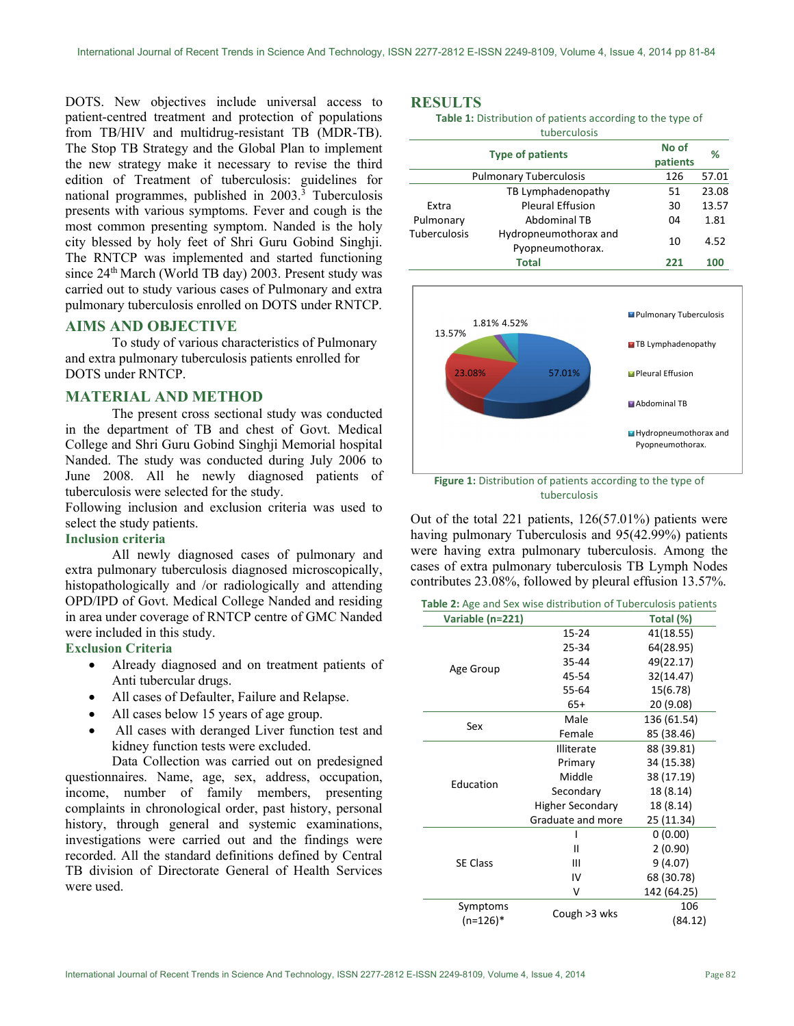DOTS. New objectives include universal access to patient-centred treatment and protection of populations from TB/HIV and multidrug-resistant TB (MDR-TB). The Stop TB Strategy and the Global Plan to implement the new strategy make it necessary to revise the third edition of Treatment of tuberculosis: guidelines for national programmes, published in 2003.<sup>3</sup> Tuberculosis presents with various symptoms. Fever and cough is the most common presenting symptom. Nanded is the holy city blessed by holy feet of Shri Guru Gobind Singhji. The RNTCP was implemented and started functioning since 24th March (World TB day) 2003. Present study was carried out to study various cases of Pulmonary and extra pulmonary tuberculosis enrolled on DOTS under RNTCP.

# AIMS AND OBJECTIVE

To study of various characteristics of Pulmonary and extra pulmonary tuberculosis patients enrolled for DOTS under RNTCP.

## MATERIAL AND METHOD

The present cross sectional study was conducted in the department of TB and chest of Govt. Medical College and Shri Guru Gobind Singhji Memorial hospital Nanded. The study was conducted during July 2006 to June 2008. All he newly diagnosed patients of tuberculosis were selected for the study.

Following inclusion and exclusion criteria was used to select the study patients.

### Inclusion criteria

All newly diagnosed cases of pulmonary and extra pulmonary tuberculosis diagnosed microscopically, histopathologically and /or radiologically and attending OPD/IPD of Govt. Medical College Nanded and residing in area under coverage of RNTCP centre of GMC Nanded were included in this study.

# Exclusion Criteria

- Already diagnosed and on treatment patients of Anti tubercular drugs.
- All cases of Defaulter, Failure and Relapse.
- All cases below 15 years of age group.
- All cases with deranged Liver function test and kidney function tests were excluded.

Data Collection was carried out on predesigned questionnaires. Name, age, sex, address, occupation, income, number of family members, presenting complaints in chronological order, past history, personal history, through general and systemic examinations, investigations were carried out and the findings were recorded. All the standard definitions defined by Central TB division of Directorate General of Health Services were used.

# RESULTS

| <b>Table 1:</b> Distribution of patients according to the type of |
|-------------------------------------------------------------------|
| tuberculosis                                                      |

|                  | <b>RESULTS</b>                                                             |                                                                                         |       |
|------------------|----------------------------------------------------------------------------|-----------------------------------------------------------------------------------------|-------|
|                  | Table 1: Distribution of patients according to the type of<br>tuberculosis |                                                                                         |       |
|                  | <b>Type of patients</b>                                                    | No of<br>patients                                                                       | %     |
|                  | <b>Pulmonary Tuberculosis</b>                                              | 126                                                                                     | 57.01 |
|                  | TB Lymphadenopathy                                                         | 51                                                                                      | 23.08 |
| Extra            | <b>Pleural Effusion</b>                                                    | 30                                                                                      | 13.57 |
| Pulmonary        | Abdominal TB                                                               | 04                                                                                      | 1.81  |
| Tuberculosis     | Hydropneumothorax and<br>Pyopneumothorax.                                  | 10                                                                                      | 4.52  |
|                  | <b>Total</b>                                                               | 221                                                                                     | 100   |
| 13.57%<br>23.08% | 1.81% 4.52%<br>57.01%                                                      | Pulmonary Tuberculosis<br><b>TB Lymphadenopathy</b><br>Pleural Effusion<br>Abdominal TB |       |



Figure 1: Distribution of patients according to the type of tuberculosis

Out of the total 221 patients, 126(57.01%) patients were having pulmonary Tuberculosis and 95(42.99%) patients were having extra pulmonary tuberculosis. Among the cases of extra pulmonary tuberculosis TB Lymph Nodes contributes 23.08%, followed by pleural effusion 13.57%.

Table 2: Age and Sex wise distribution of Tuberculosis patients

| Variable (n=221)       |                         | Total (%)      |
|------------------------|-------------------------|----------------|
| Age Group              | 15-24                   | 41(18.55)      |
|                        | 25-34                   | 64(28.95)      |
|                        | 35-44                   | 49(22.17)      |
|                        | 45-54                   | 32(14.47)      |
|                        | 55-64                   | 15(6.78)       |
|                        | $65+$                   | 20 (9.08)      |
| Sex                    | Male                    | 136 (61.54)    |
|                        | Female                  | 85 (38.46)     |
| Education              | <b>Illiterate</b>       | 88 (39.81)     |
|                        | Primary                 | 34 (15.38)     |
|                        | Middle                  | 38 (17.19)     |
|                        | Secondary               | 18 (8.14)      |
|                        | <b>Higher Secondary</b> | 18 (8.14)      |
|                        | Graduate and more       | 25 (11.34)     |
|                        |                         | 0(0.00)        |
|                        | Ш                       | 2(0.90)        |
| <b>SE Class</b>        | Ш                       | 9(4.07)        |
|                        | IV                      | 68 (30.78)     |
|                        | ٧                       | 142 (64.25)    |
| Symptoms<br>$(n=126)*$ | Cough > 3 wks           | 106<br>(84.12) |
|                        |                         |                |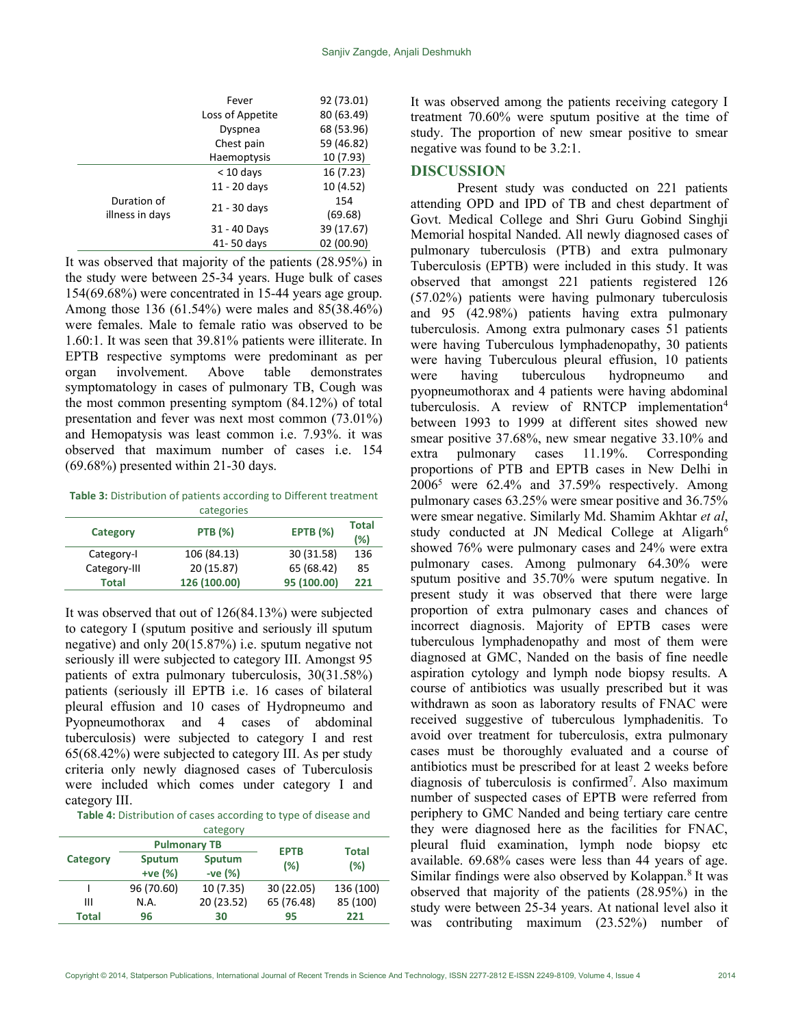|                 | Fever            | 92 (73.01) |
|-----------------|------------------|------------|
|                 | Loss of Appetite | 80 (63.49) |
|                 | Dyspnea          | 68 (53.96) |
|                 | Chest pain       | 59 (46.82) |
|                 | Haemoptysis      | 10 (7.93)  |
|                 | $<$ 10 days      | 16(7.23)   |
|                 | $11 - 20$ days   | 10 (4.52)  |
| Duration of     |                  | 154        |
| illness in days | 21 - 30 days     | (69.68)    |
|                 | 31 - 40 Days     | 39 (17.67) |
|                 | 41-50 days       | 02 (00.90) |
|                 |                  |            |

It was observed that majority of the patients (28.95%) in the study were between 25-34 years. Huge bulk of cases 154(69.68%) were concentrated in 15-44 years age group. Among those 136 (61.54%) were males and 85(38.46%) were females. Male to female ratio was observed to be 1.60:1. It was seen that 39.81% patients were illiterate. In EPTB respective symptoms were predominant as per organ involvement. Above table demonstrates symptomatology in cases of pulmonary TB, Cough was the most common presenting symptom (84.12%) of total presentation and fever was next most common (73.01%) and Hemopatysis was least common i.e. 7.93%. it was observed that maximum number of cases i.e. 154 (69.68%) presented within 21-30 days.

Table 3: Distribution of patients according to Different treatment categories

|              | ----------     |                 |                     |
|--------------|----------------|-----------------|---------------------|
| Category     | <b>PTB</b> (%) | <b>EPTB</b> (%) | <b>Total</b><br>(%) |
| Category-I   | 106 (84.13)    | 30 (31.58)      | 136                 |
| Category-III | 20 (15.87)     | 65 (68.42)      | 85                  |
| Total        | 126 (100.00)   | 95 (100.00)     | 221                 |

It was observed that out of 126(84.13%) were subjected to category I (sputum positive and seriously ill sputum negative) and only 20(15.87%) i.e. sputum negative not seriously ill were subjected to category III. Amongst 95 patients of extra pulmonary tuberculosis, 30(31.58%) patients (seriously ill EPTB i.e. 16 cases of bilateral pleural effusion and 10 cases of Hydropneumo and Pyopneumothorax and 4 cases of abdominal tuberculosis) were subjected to category I and rest 65(68.42%) were subjected to category III. As per study criteria only newly diagnosed cases of Tuberculosis were included which comes under category I and category III.

Table 4: Distribution of cases according to type of disease and category

| $      -$    |                     |            |             |                     |  |
|--------------|---------------------|------------|-------------|---------------------|--|
| Category     | <b>Pulmonary TB</b> |            | <b>EPTB</b> |                     |  |
|              | Sputum              | Sputum     | (%)         | <b>Total</b><br>(%) |  |
|              | +ve (%)             | $-ve(%)$   |             |                     |  |
|              | 96 (70.60)          | 10(7.35)   | 30 (22.05)  | 136 (100)           |  |
| Ш            | N.A.                | 20 (23.52) | 65 (76.48)  | 85 (100)            |  |
| <b>Total</b> | 96                  | 30         | 95          | 221                 |  |
|              |                     |            |             |                     |  |

It was observed among the patients receiving category I treatment 70.60% were sputum positive at the time of study. The proportion of new smear positive to smear negative was found to be 3.2:1.

# **DISCUSSION**

Present study was conducted on 221 patients attending OPD and IPD of TB and chest department of Govt. Medical College and Shri Guru Gobind Singhji Memorial hospital Nanded. All newly diagnosed cases of pulmonary tuberculosis (PTB) and extra pulmonary Tuberculosis (EPTB) were included in this study. It was observed that amongst 221 patients registered 126 (57.02%) patients were having pulmonary tuberculosis and 95 (42.98%) patients having extra pulmonary tuberculosis. Among extra pulmonary cases 51 patients were having Tuberculous lymphadenopathy, 30 patients were having Tuberculous pleural effusion, 10 patients were having tuberculous hydropneumo and pyopneumothorax and 4 patients were having abdominal tuberculosis. A review of RNTCP implementation<sup>4</sup> between 1993 to 1999 at different sites showed new smear positive 37.68%, new smear negative 33.10% and extra pulmonary cases 11.19%. Corresponding proportions of PTB and EPTB cases in New Delhi in 2006<sup>5</sup> were 62.4% and 37.59% respectively. Among pulmonary cases 63.25% were smear positive and 36.75% were smear negative. Similarly Md. Shamim Akhtar et al, study conducted at JN Medical College at Aligarh<sup>6</sup> showed 76% were pulmonary cases and 24% were extra pulmonary cases. Among pulmonary 64.30% were sputum positive and 35.70% were sputum negative. In present study it was observed that there were large proportion of extra pulmonary cases and chances of incorrect diagnosis. Majority of EPTB cases were tuberculous lymphadenopathy and most of them were diagnosed at GMC, Nanded on the basis of fine needle aspiration cytology and lymph node biopsy results. A course of antibiotics was usually prescribed but it was withdrawn as soon as laboratory results of FNAC were received suggestive of tuberculous lymphadenitis. To avoid over treatment for tuberculosis, extra pulmonary cases must be thoroughly evaluated and a course of antibiotics must be prescribed for at least 2 weeks before diagnosis of tuberculosis is confirmed<sup>7</sup>. Also maximum number of suspected cases of EPTB were referred from periphery to GMC Nanded and being tertiary care centre they were diagnosed here as the facilities for FNAC, pleural fluid examination, lymph node biopsy etc available. 69.68% cases were less than 44 years of age. Similar findings were also observed by Kolappan.<sup>8</sup> It was observed that majority of the patients (28.95%) in the study were between 25-34 years. At national level also it was contributing maximum (23.52%) number of